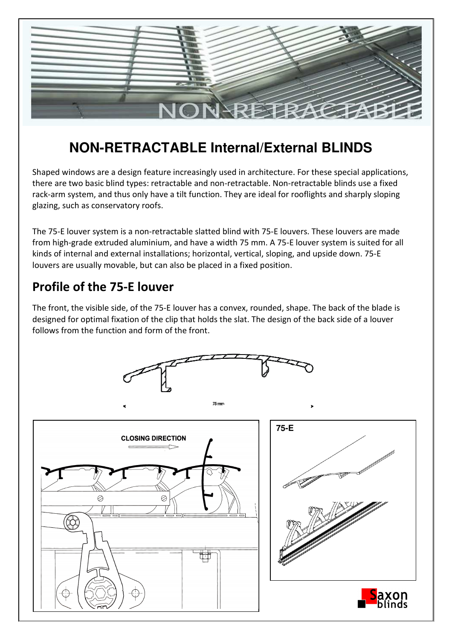

## **NON-RETRACTABLE Internal/External BLINDS**

Shaped windows are a design feature increasingly used in architecture. For these special applications, there are two basic blind types: retractable and non-retractable. Non-retractable blinds use a fixed rack-arm system, and thus only have a tilt function. They are ideal for rooflights and sharply sloping glazing, such as conservatory roofs.

The 75-E louver system is a non-retractable slatted blind with 75-E louvers. These louvers are made from high-grade extruded aluminium, and have a width 75 mm. A 75-E louver system is suited for all kinds of internal and external installations; horizontal, vertical, sloping, and upside down. 75-E louvers are usually movable, but can also be placed in a fixed position.

## **Profile of the 75-E louver**

The front, the visible side, of the 75-E louver has a convex, rounded, shape. The back of the blade is designed for optimal fixation of the clip that holds the slat. The design of the back side of a louver follows from the function and form of the front.